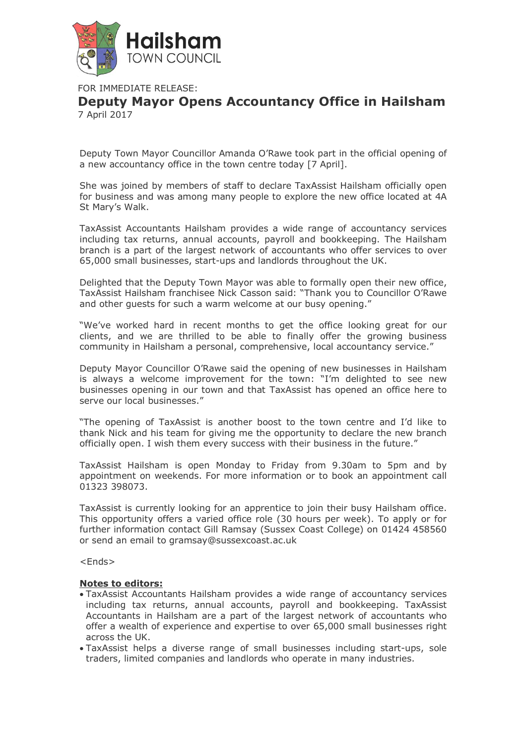

FOR IMMEDIATE RELEASE:

**Deputy Mayor Opens Accountancy Office in Hailsham** 7 April 2017

Deputy Town Mayor Councillor Amanda O'Rawe took part in the official opening of a new accountancy office in the town centre today [7 April].

She was joined by members of staff to declare TaxAssist Hailsham officially open for business and was among many people to explore the new office located at 4A St Mary's Walk.

TaxAssist Accountants Hailsham provides a wide range of accountancy services including tax returns, annual accounts, payroll and bookkeeping. The Hailsham branch is a part of the largest network of accountants who offer services to over 65,000 small businesses, start-ups and landlords throughout the UK.

Delighted that the Deputy Town Mayor was able to formally open their new office, TaxAssist Hailsham franchisee Nick Casson said: "Thank you to Councillor O'Rawe and other guests for such a warm welcome at our busy opening."

"We've worked hard in recent months to get the office looking great for our clients, and we are thrilled to be able to finally offer the growing business community in Hailsham a personal, comprehensive, local accountancy service."

Deputy Mayor Councillor O'Rawe said the opening of new businesses in Hailsham is always a welcome improvement for the town: "I'm delighted to see new businesses opening in our town and that TaxAssist has opened an office here to serve our local businesses."

"The opening of TaxAssist is another boost to the town centre and I'd like to thank Nick and his team for giving me the opportunity to declare the new branch officially open. I wish them every success with their business in the future."

TaxAssist Hailsham is open Monday to Friday from 9.30am to 5pm and by appointment on weekends. For more information or to book an appointment call 01323 398073.

TaxAssist is currently looking for an apprentice to join their busy Hailsham office. This opportunity offers a varied office role (30 hours per week). To apply or for further information contact Gill Ramsay (Sussex Coast College) on 01424 458560 or send an email to gramsay@sussexcoast.ac.uk

<Ends>

## **Notes to editors:**

- TaxAssist Accountants Hailsham provides a wide range of accountancy services including tax returns, annual accounts, payroll and bookkeeping. TaxAssist Accountants in Hailsham are a part of the largest network of accountants who offer a wealth of experience and expertise to over 65,000 small businesses right across the UK.
- TaxAssist helps a diverse range of small businesses including start-ups, sole traders, limited companies and landlords who operate in many industries.